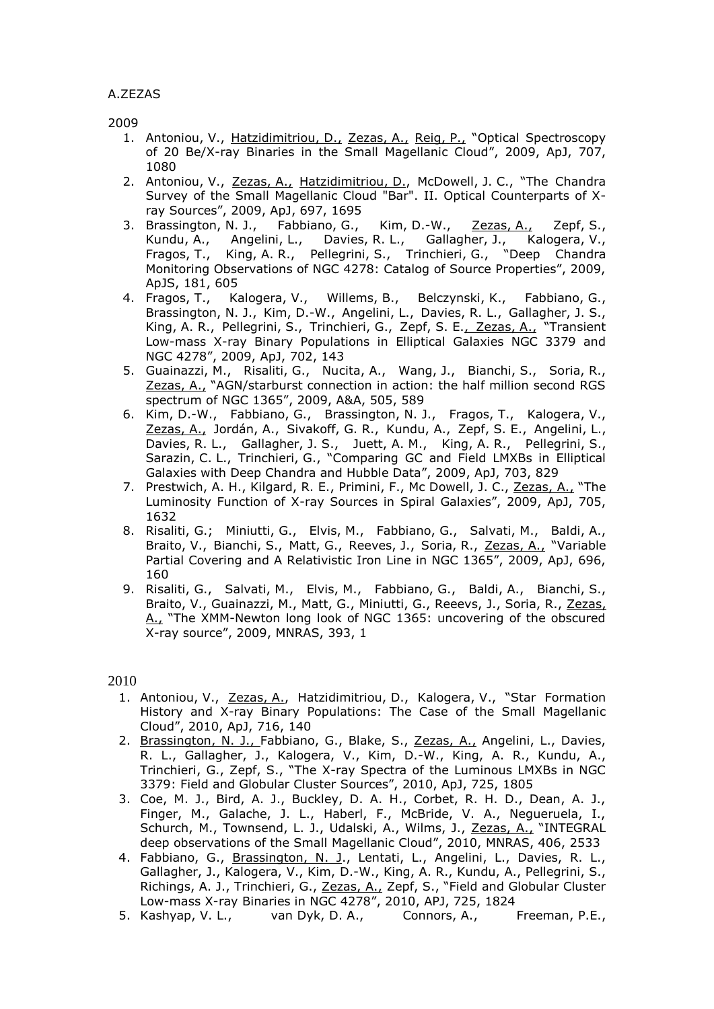2009

- 1. Antoniou, V., Hatzidimitriou, D., Zezas, A., Reig, P., "Optical Spectroscopy of 20 Be/X-ray Binaries in the Small Magellanic Cloud", 2009, ApJ, 707, 1080
- 2. Antoniou, V., Zezas, A., Hatzidimitriou, D., McDowell, J. C., "The Chandra Survey of the Small Magellanic Cloud "Bar". II. Optical Counterparts of Xray Sources", 2009, ApJ, 697, 1695
- 3. Brassington, N. J., Fabbiano, G., Kim, D.-W., Zezas, A., Zepf, S., Kundu, A., Angelini, L., Davies, R. L., Gallagher, J., Kalogera, V., Fragos, T., King, A. R., Pellegrini, S., Trinchieri, G., "Deep Chandra Monitoring Observations of NGC 4278: Catalog of Source Properties", 2009, ApJS, 181, 605
- 4. Fragos, T., Kalogera, V., Willems, B., Belczynski, K., Fabbiano, G., Brassington, N. J., Kim, D.-W., Angelini, L., Davies, R. L., Gallagher, J. S., King, A. R., Pellegrini, S., Trinchieri, G., Zepf, S. E., Zezas, A., "Transient Low-mass X-ray Binary Populations in Elliptical Galaxies NGC 3379 and NGC 4278", 2009, ApJ, 702, 143
- 5. Guainazzi, M., Risaliti, G., Nucita, A., Wang, J., Bianchi, S., Soria, R., Zezas, A., "AGN/starburst connection in action: the half million second RGS spectrum of NGC 1365", 2009, A&A, 505, 589
- 6. Kim, D.-W., Fabbiano, G., Brassington, N. J., Fragos, T., Kalogera, V., Zezas, A., Jordán, A., Sivakoff, G. R., Kundu, A., Zepf, S. E., Angelini, L., Davies, R. L., Gallagher, J. S., Juett, A. M., King, A. R., Pellegrini, S., Sarazin, C. L., Trinchieri, G., "Comparing GC and Field LMXBs in Elliptical Galaxies with Deep Chandra and Hubble Data", 2009, ApJ, 703, 829
- 7. Prestwich, A. H., Kilgard, R. E., Primini, F., Mc Dowell, J. C., Zezas, A., "The Luminosity Function of X-ray Sources in Spiral Galaxies", 2009, ApJ, 705, 1632
- 8. Risaliti, G.; Miniutti, G., Elvis, M., Fabbiano, G., Salvati, M., Baldi, A., Braito, V., Bianchi, S., Matt, G., Reeves, J., Soria, R., Zezas, A., "Variable Partial Covering and A Relativistic Iron Line in NGC 1365", 2009, ApJ, 696, 160
- 9. Risaliti, G., Salvati, M., Elvis, M., Fabbiano, G., Baldi, A., Bianchi, S., Braito, V., Guainazzi, M., Matt, G., Miniutti, G., Reeevs, J., Soria, R., Zezas, A., "The XMM-Newton long look of NGC 1365: uncovering of the obscured X-ray source", 2009, MNRAS, 393, 1

2010

- 1. Antoniou, V., Zezas, A., Hatzidimitriou, D., Kalogera, V., "Star Formation History and X-ray Binary Populations: The Case of the Small Magellanic Cloud", 2010, ApJ, 716, 140
- 2. Brassington, N. J., Fabbiano, G., Blake, S., Zezas, A., Angelini, L., Davies, R. L., Gallagher, J., Kalogera, V., Kim, D.-W., King, A. R., Kundu, A., Trinchieri, G., Zepf, S., "The X-ray Spectra of the Luminous LMXBs in NGC 3379: Field and Globular Cluster Sources", 2010, ApJ, 725, 1805
- 3. Coe, M. J., Bird, A. J., Buckley, D. A. H., Corbet, R. H. D., Dean, A. J., Finger, M., Galache, J. L., Haberl, F., McBride, V. A., Negueruela, I., Schurch, M., Townsend, L. J., Udalski, A., Wilms, J., Zezas, A., "INTEGRAL deep observations of the Small Magellanic Cloud", 2010, MNRAS, 406, 2533
- 4. Fabbiano, G., Brassington, N. J., Lentati, L., Angelini, L., Davies, R. L., Gallagher, J., Kalogera, V., Kim, D.-W., King, A. R., Kundu, A., Pellegrini, S., Richings, A. J., Trinchieri, G., Zezas, A., Zepf, S., "Field and Globular Cluster Low-mass X-ray Binaries in NGC 4278", 2010, APJ, 725, 1824
- 5. Kashyap, V. L., van Dyk, D. A., Connors, A., Freeman, P.E.,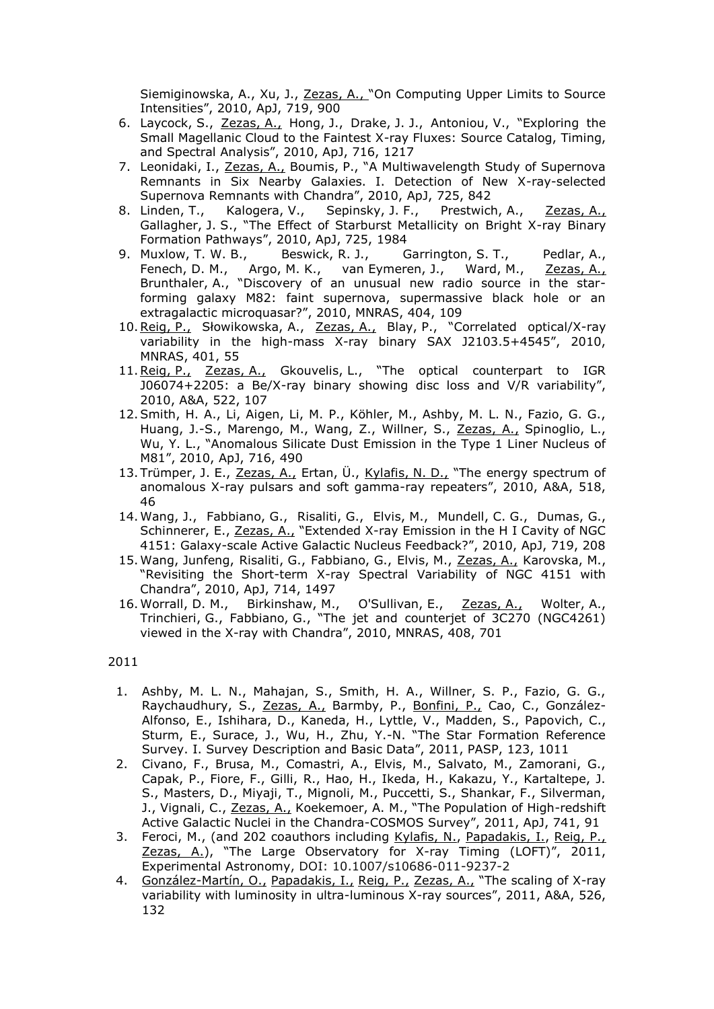Siemiginowska, A., Xu, J., Zezas, A., "On Computing Upper Limits to Source Intensities", 2010, ApJ, 719, 900

- 6. Laycock, S., Zezas, A., Hong, J., Drake, J. J., Antoniou, V., "Exploring the Small Magellanic Cloud to the Faintest X-ray Fluxes: Source Catalog, Timing, and Spectral Analysis", 2010, ApJ, 716, 1217
- 7. Leonidaki, I., Zezas, A., Boumis, P., "A Multiwavelength Study of Supernova Remnants in Six Nearby Galaxies. I. Detection of New X-ray-selected Supernova Remnants with Chandra", 2010, ApJ, 725, 842
- 8. Linden, T., Kalogera, V., Sepinsky, J. F., Prestwich, A., Zezas, A., Gallagher, J. S., "The Effect of Starburst Metallicity on Bright X-ray Binary Formation Pathways", 2010, ApJ, 725, 1984
- 9. Muxlow, T. W. B., Beswick, R. J., Garrington, S. T., Pedlar, A., Fenech, D. M., Argo, M. K., van Eymeren, J., Ward, M., Zezas, A., Brunthaler, A., "Discovery of an unusual new radio source in the starforming galaxy M82: faint supernova, supermassive black hole or an extragalactic microquasar?", 2010, MNRAS, 404, 109
- 10. Reig, P., Słowikowska, A., Zezas, A., Blay, P., "Correlated optical/X-ray variability in the high-mass X-ray binary SAX J2103.5+4545", 2010, MNRAS, 401, 55
- 11. Reig, P., Zezas, A., Gkouvelis, L., "The optical counterpart to IGR J06074+2205: a Be/X-ray binary showing disc loss and V/R variability", 2010, A&A, 522, 107
- 12.Smith, H. A., Li, Aigen, Li, M. P., Köhler, M., Ashby, M. L. N., Fazio, G. G., Huang, J.-S., Marengo, M., Wang, Z., Willner, S., Zezas, A., Spinoglio, L., Wu, Y. L., "Anomalous Silicate Dust Emission in the Type 1 Liner Nucleus of M81", 2010, ApJ, 716, 490
- 13. Trümper, J. E., Zezas, A., Ertan, Ü., Kylafis, N. D., "The energy spectrum of anomalous X-ray pulsars and soft gamma-ray repeaters", 2010, A&A, 518, 46
- 14. Wang, J., Fabbiano, G., Risaliti, G., Elvis, M., Mundell, C. G., Dumas, G., Schinnerer, E., Zezas, A., "Extended X-ray Emission in the H I Cavity of NGC 4151: Galaxy-scale Active Galactic Nucleus Feedback?", 2010, ApJ, 719, 208
- 15. Wang, Junfeng, Risaliti, G., Fabbiano, G., Elvis, M., Zezas, A., Karovska, M., "Revisiting the Short-term X-ray Spectral Variability of NGC 4151 with Chandra", 2010, ApJ, 714, 1497
- 16. Worrall, D. M., Birkinshaw, M., O'Sullivan, E., Zezas, A., Wolter, A., Trinchieri, G., Fabbiano, G., "The jet and counterjet of 3C270 (NGC4261) viewed in the X-ray with Chandra", 2010, MNRAS, 408, 701

## 2011

- 1. Ashby, M. L. N., Mahajan, S., Smith, H. A., Willner, S. P., Fazio, G. G., Raychaudhury, S., Zezas, A., Barmby, P., Bonfini, P., Cao, C., González-Alfonso, E., Ishihara, D., Kaneda, H., Lyttle, V., Madden, S., Papovich, C., Sturm, E., Surace, J., Wu, H., Zhu, Y.-N. "The Star Formation Reference Survey. I. Survey Description and Basic Data", 2011, PASP, 123, 1011
- 2. Civano, F., Brusa, M., Comastri, A., Elvis, M., Salvato, M., Zamorani, G., Capak, P., Fiore, F., Gilli, R., Hao, H., Ikeda, H., Kakazu, Y., Kartaltepe, J. S., Masters, D., Miyaji, T., Mignoli, M., Puccetti, S., Shankar, F., Silverman, J., Vignali, C., Zezas, A., Koekemoer, A. M., "The Population of High-redshift Active Galactic Nuclei in the Chandra-COSMOS Survey", 2011, ApJ, 741, 91
- 3. Feroci, M., (and 202 coauthors including Kylafis, N., Papadakis, I., Reig, P., Zezas, A.), "The Large Observatory for X-ray Timing (LOFT)", 2011, Experimental Astronomy, DOI: 10.1007/s10686-011-9237-2
- 4. González-Martín, O., Papadakis, I., Reig, P., Zezas, A., "The scaling of X-ray variability with luminosity in ultra-luminous X-ray sources", 2011, A&A, 526, 132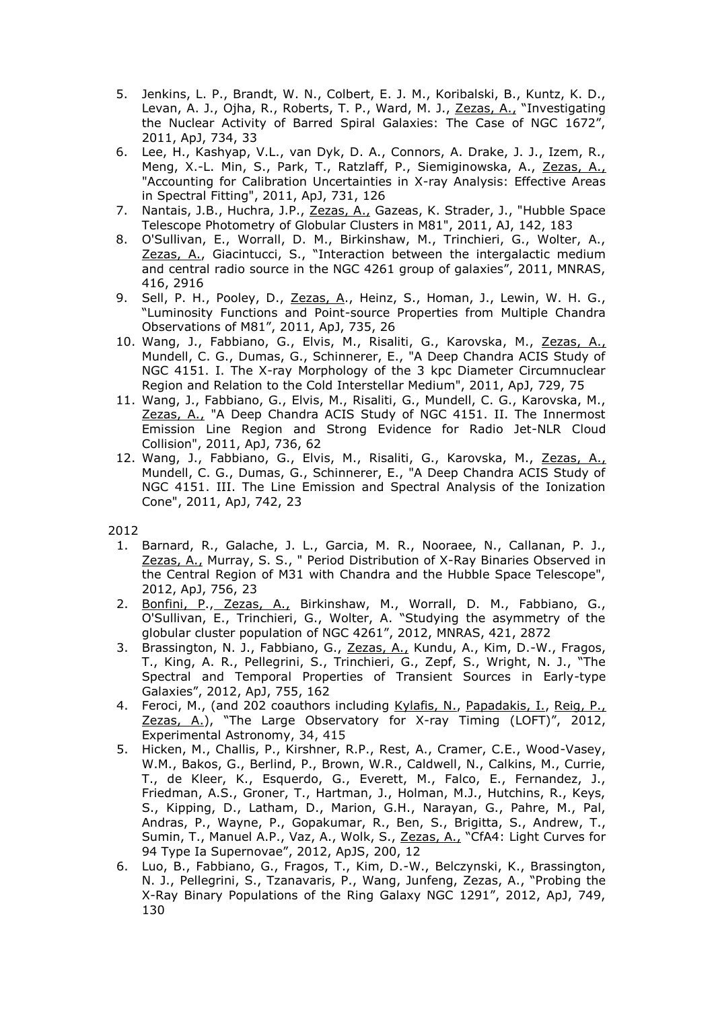- 5. Jenkins, L. P., Brandt, W. N., Colbert, E. J. M., Koribalski, B., Kuntz, K. D., Levan, A. J., Ojha, R., Roberts, T. P., Ward, M. J., Zezas, A., "Investigating the Nuclear Activity of Barred Spiral Galaxies: The Case of NGC 1672", 2011, ApJ, 734, 33
- 6. Lee, H., Kashyap, V.L., van Dyk, D. A., Connors, A. Drake, J. J., Izem, R., Meng, X.-L. Min, S., Park, T., Ratzlaff, P., Siemiginowska, A., Zezas, A., "Accounting for Calibration Uncertainties in X-ray Analysis: Effective Areas in Spectral Fitting", 2011, ApJ, 731, 126
- 7. Nantais, J.B., Huchra, J.P., Zezas, A., Gazeas, K. Strader, J., "Hubble Space Telescope Photometry of Globular Clusters in M81", 2011, AJ, 142, 183
- 8. O'Sullivan, E., Worrall, D. M., Birkinshaw, M., Trinchieri, G., Wolter, A., Zezas, A., Giacintucci, S., "Interaction between the intergalactic medium and central radio source in the NGC 4261 group of galaxies", 2011, MNRAS, 416, 2916
- 9. Sell, P. H., Pooley, D., Zezas, A., Heinz, S., Homan, J., Lewin, W. H. G., "Luminosity Functions and Point-source Properties from Multiple Chandra Observations of M81", 2011, ApJ, 735, 26
- 10. Wang, J., Fabbiano, G., Elvis, M., Risaliti, G., Karovska, M., Zezas, A., Mundell, C. G., Dumas, G., Schinnerer, E., "A Deep Chandra ACIS Study of NGC 4151. I. The X-ray Morphology of the 3 kpc Diameter Circumnuclear Region and Relation to the Cold Interstellar Medium", 2011, ApJ, 729, 75
- 11. Wang, J., Fabbiano, G., Elvis, M., Risaliti, G., Mundell, C. G., Karovska, M., Zezas, A., "A Deep Chandra ACIS Study of NGC 4151. II. The Innermost Emission Line Region and Strong Evidence for Radio Jet-NLR Cloud Collision", 2011, ApJ, 736, 62
- 12. Wang, J., Fabbiano, G., Elvis, M., Risaliti, G., Karovska, M., Zezas, A., Mundell, C. G., Dumas, G., Schinnerer, E., "A Deep Chandra ACIS Study of NGC 4151. III. The Line Emission and Spectral Analysis of the Ionization Cone", 2011, ApJ, 742, 23

2012

- 1. Barnard, R., Galache, J. L., Garcia, M. R., Nooraee, N., Callanan, P. J., Zezas, A., Murray, S. S., " Period Distribution of X-Ray Binaries Observed in the Central Region of M31 with Chandra and the Hubble Space Telescope", 2012, ApJ, 756, 23
- 2. Bonfini, P., Zezas, A., Birkinshaw, M., Worrall, D. M., Fabbiano, G., O'Sullivan, E., Trinchieri, G., Wolter, A. "Studying the asymmetry of the globular cluster population of NGC 4261", 2012, MNRAS, 421, 2872
- 3. Brassington, N. J., Fabbiano, G., Zezas, A., Kundu, A., Kim, D.-W., Fragos, T., King, A. R., Pellegrini, S., Trinchieri, G., Zepf, S., Wright, N. J., "The Spectral and Temporal Properties of Transient Sources in Early-type Galaxies", 2012, ApJ, 755, 162
- 4. Feroci, M., (and 202 coauthors including Kylafis, N., Papadakis, I., Reig, P., Zezas, A.), "The Large Observatory for X-ray Timing (LOFT)", 2012, Experimental Astronomy, 34, 415
- 5. Hicken, M., Challis, P., Kirshner, R.P., Rest, A., Cramer, C.E., Wood-Vasey, W.M., Bakos, G., Berlind, P., Brown, W.R., Caldwell, N., Calkins, M., Currie, T., de Kleer, K., Esquerdo, G., Everett, M., Falco, E., Fernandez, J., Friedman, A.S., Groner, T., Hartman, J., Holman, M.J., Hutchins, R., Keys, S., Kipping, D., Latham, D., Marion, G.H., Narayan, G., Pahre, M., Pal, Andras, P., Wayne, P., Gopakumar, R., Ben, S., Brigitta, S., Andrew, T., Sumin, T., Manuel A.P., Vaz, A., Wolk, S., Zezas, A., "CfA4: Light Curves for 94 Type Ia Supernovae", 2012, ApJS, 200, 12
- 6. Luo, B., Fabbiano, G., Fragos, T., Kim, D.-W., Belczynski, K., Brassington, N. J., Pellegrini, S., Tzanavaris, P., Wang, Junfeng, Zezas, A., "Probing the X-Ray Binary Populations of the Ring Galaxy NGC 1291", 2012, ApJ, 749, 130